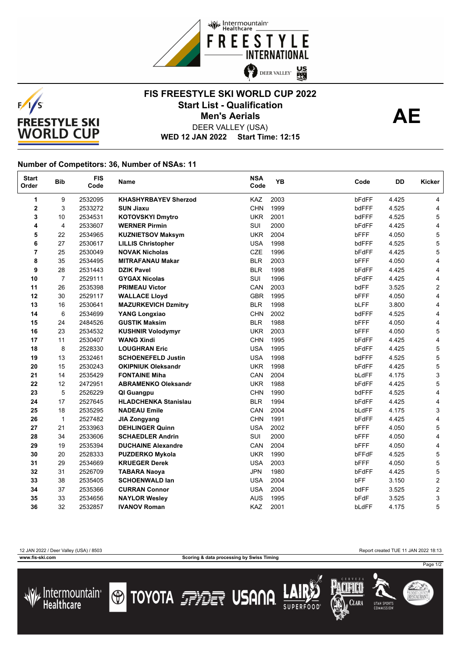



## **FIS FREESTYLE SKI WORLD CUP 2022** Start List - Qualification<br> **AE Men's Aerials**



DEER VALLEY (USA)

**WED 12 JAN 2022 Start Time: 12:15**

## **Number of Competitors: 36, Number of NSAs: 11**

| <b>Start</b><br>Order   | <b>Bib</b>     | <b>FIS</b><br>Code | Name                        | <b>NSA</b><br>Code | <b>YB</b> | Code        | DD    | Kicker                  |
|-------------------------|----------------|--------------------|-----------------------------|--------------------|-----------|-------------|-------|-------------------------|
| 1                       | 9              | 2532095            | <b>KHASHYRBAYEV Sherzod</b> | KAZ                | 2003      | bFdFF       | 4.425 | 4                       |
| $\overline{\mathbf{2}}$ | 3              | 2533272            | <b>SUN Jiaxu</b>            | <b>CHN</b>         | 1999      | bdFFF       | 4.525 | 4                       |
| 3                       | 10             | 2534531            | <b>KOTOVSKYI Dmytro</b>     | <b>UKR</b>         | 2001      | bdFFF       | 4.525 | 5                       |
| 4                       | 4              | 2533607            | <b>WERNER Pirmin</b>        | SUI                | 2000      | bFdFF       | 4.425 | 4                       |
| 5                       | 22             | 2534965            | <b>KUZNIETSOV Maksym</b>    | <b>UKR</b>         | 2004      | bFFF        | 4.050 | 5                       |
| 6                       | 27             | 2530617            | <b>LILLIS Christopher</b>   | <b>USA</b>         | 1998      | bdFFF       | 4.525 | 5                       |
| $\overline{7}$          | 25             | 2530049            | <b>NOVAK Nicholas</b>       | <b>CZE</b>         | 1996      | bFdFF       | 4.425 | 5                       |
| 8                       | 35             | 2534495            | <b>MITRAFANAU Makar</b>     | <b>BLR</b>         | 2003      | bFFF        | 4.050 | 4                       |
| 9                       | 28             | 2531443            | <b>DZIK Pavel</b>           | <b>BLR</b>         | 1998      | bFdFF       | 4.425 | 4                       |
| 10                      | $\overline{7}$ | 2529111            | <b>GYGAX Nicolas</b>        | <b>SUI</b>         | 1996      | bFdFF       | 4.425 | 4                       |
| 11                      | 26             | 2535398            | <b>PRIMEAU Victor</b>       | CAN                | 2003      | bdFF        | 3.525 | 2                       |
| 12                      | 30             | 2529117            | <b>WALLACE Lloyd</b>        | <b>GBR</b>         | 1995      | bFFF        | 4.050 | 4                       |
| 13                      | 16             | 2530641            | <b>MAZURKEVICH Dzmitry</b>  | <b>BLR</b>         | 1998      | <b>bLFF</b> | 3.800 | 4                       |
| 14                      | 6              | 2534699            | <b>YANG Longxiao</b>        | <b>CHN</b>         | 2002      | bdFFF       | 4.525 | 4                       |
| 15                      | 24             | 2484526            | <b>GUSTIK Maksim</b>        | <b>BLR</b>         | 1988      | bFFF        | 4.050 | 4                       |
| 16                      | 23             | 2534532            | <b>KUSHNIR Volodymyr</b>    | <b>UKR</b>         | 2003      | bFFF        | 4.050 | 5                       |
| 17                      | 11             | 2530407            | <b>WANG Xindi</b>           | <b>CHN</b>         | 1995      | bFdFF       | 4.425 | 4                       |
| 18                      | 8              | 2528330            | <b>LOUGHRAN Eric</b>        | <b>USA</b>         | 1995      | bFdFF       | 4.425 | 5                       |
| 19                      | 13             | 2532461            | <b>SCHOENEFELD Justin</b>   | <b>USA</b>         | 1998      | bdFFF       | 4.525 | 5                       |
| 20                      | 15             | 2530243            | <b>OKIPNIUK Oleksandr</b>   | <b>UKR</b>         | 1998      | bFdFF       | 4.425 | 5                       |
| 21                      | 14             | 2535429            | <b>FONTAINE Miha</b>        | CAN                | 2004      | bLdFF       | 4.175 | 3                       |
| 22                      | 12             | 2472951            | <b>ABRAMENKO Oleksandr</b>  | <b>UKR</b>         | 1988      | bFdFF       | 4.425 | 5                       |
| 23                      | 5              | 2526229            | QI Guangpu                  | <b>CHN</b>         | 1990      | bdFFF       | 4.525 | 4                       |
| 24                      | 17             | 2527645            | <b>HLADCHENKA Stanislau</b> | <b>BLR</b>         | 1994      | bFdFF       | 4.425 | 4                       |
| 25                      | 18             | 2535295            | <b>NADEAU Emile</b>         | CAN                | 2004      | bLdFF       | 4.175 | 3                       |
| 26                      | $\mathbf{1}$   | 2527482            | <b>JIA Zongyang</b>         | <b>CHN</b>         | 1991      | bFdFF       | 4.425 | 4                       |
| 27                      | 21             | 2533963            | <b>DEHLINGER Quinn</b>      | <b>USA</b>         | 2002      | bFFF        | 4.050 | 5                       |
| 28                      | 34             | 2533606            | <b>SCHAEDLER Andrin</b>     | SUI                | 2000      | bFFF        | 4.050 | 4                       |
| 29                      | 19             | 2535394            | <b>DUCHAINE Alexandre</b>   | CAN                | 2004      | bFFF        | 4.050 | 4                       |
| 30                      | 20             | 2528333            | <b>PUZDERKO Mykola</b>      | <b>UKR</b>         | 1990      | bFFdF       | 4.525 | 5                       |
| 31                      | 29             | 2534669            | <b>KRUEGER Derek</b>        | <b>USA</b>         | 2003      | <b>bFFF</b> | 4.050 | 5                       |
| 32                      | 31             | 2526709            | <b>TABARA Naoya</b>         | <b>JPN</b>         | 1980      | bFdFF       | 4.425 | 5                       |
| 33                      | 38             | 2535405            | <b>SCHOENWALD lan</b>       | <b>USA</b>         | 2004      | bFF         | 3.150 | $\overline{\mathbf{c}}$ |
| 34                      | 37             | 2535366            | <b>CURRAN Connor</b>        | <b>USA</b>         | 2004      | bdFF        | 3.525 | $\overline{\mathbf{c}}$ |
| 35                      | 33             | 2534656            | <b>NAYLOR Wesley</b>        | <b>AUS</b>         | 1995      | bFdF        | 3.525 | 3                       |
| 36                      | 32             | 2532857            | <b>IVANOV Roman</b>         | KAZ                | 2001      | bLdFF       | 4.175 | 5                       |

**www.fis-ski.com Scoring & data processing by Swiss Timing**

12 JAN 2022 / Deer Valley (USA) / 8503 Report created TUE 11 JAN 2022 18:13